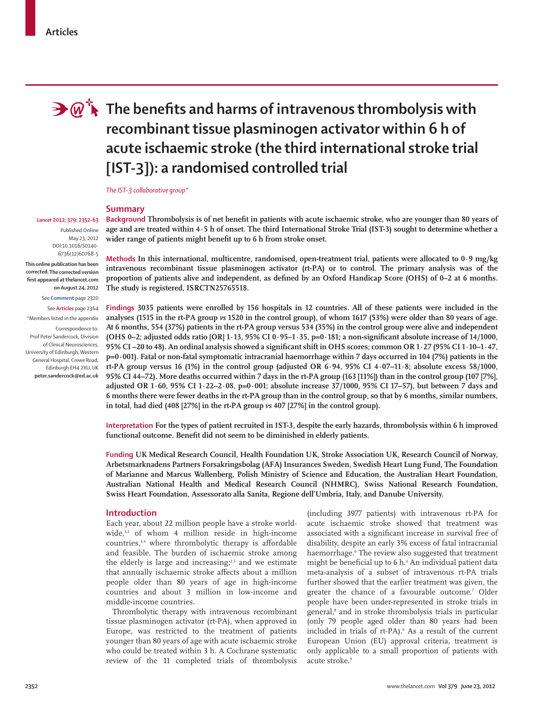# $\mathbf{F} \in \mathbb{R}^n$  The benefits and harms of intravenous thrombolysis with **recombinant tissue plasminogen activator within 6 h of acute ischaemic stroke (the third international stroke trial [IST-3]): a randomised controlled trial**

*The IST-3 collaborative group\**

## **Summary**

*Lancet* **2012; 379: 2352–63**

Published **Online** May 23, 2012 DOI:10.1016/S0140- 6736(12)60768-5

**This online publication has been corrected. The corrected version fi rst appeared at thelancet.com on August 24, 2012**

See **Comment** page 2320

See **Articles** page 2364 \*Members listed in the appendix

Correspondence to: Prof Peter Sandercock, Division of Clinical Neurosciences, University of Edinburgh, Western General Hospital, Crewe Road, Edinburgh EH4 2XU, UK **peter.sandercock@ed.ac.uk** Background Thrombolysis is of net benefit in patients with acute ischaemic stroke, who are younger than 80 years of **age and are treated within 4·5 h of onset. The third International Stroke Trial (IST-3) sought to determine whether a**  wider range of patients might benefit up to 6 h from stroke onset.

**Methods In this international, multicentre, randomised, open-treatment trial, patients were allocated to 0·9 mg/kg intravenous recombinant tissue plasminogen activator (rt-PA) or to control. The primary analysis was of the proportion of patients alive and independent, as defined by an Oxford Handicap Score (OHS) of 0–2 at 6 months. The study is registered, ISRCTN25765518.**

**Findings 3035 patients were enrolled by 156 hospitals in 12 countries. All of these patients were included in the analyses (1515 in the rt-PA group** *vs* **1520 in the control group), of whom 1617 (53%) were older than 80 years of age. At 6 months, 554 (37%) patients in the rt-PA group versus 534 (35%) in the control group were alive and independent (OHS 0–2; adjusted odds ratio [OR] 1·13, 95% CI 0·95–1·35, p=0·181; a non-significant absolute increase of 14/1000, 95% CI –20 to 48). An ordinal analysis showed a significant shift in OHS scores; common OR 1·27 (95% CI 1·10–1·47, p=0·001). Fatal or non-fatal symptomatic intracranial haemorrhage within 7 days occurred in 104 (7%) patients in the rt-PA group versus 16 (1%) in the control group (adjusted OR 6·94, 95% CI 4·07–11·8; absolute excess 58/1000, 95% CI 44–72). More deaths occurred within 7 days in the rt-PA group (163 [11%]) than in the control group (107 [7%], adjusted OR 1·60, 95% CI 1·22–2·08, p=0·001; absolute increase 37/1000, 95% CI 17–57), but between 7 days and 6 months there were fewer deaths in the rt-PA group than in the control group, so that by 6 months, similar numbers, in total, had died (408 [27%] in the rt-PA group** *vs* **407 [27%] in the control group).**

**Interpretation For the types of patient recruited in IST-3, despite the early hazards, thrombolysis within 6 h improved**  functional outcome. Benefit did not seem to be diminished in elderly patients.

**Funding UK Medical Research Council, Health Foundation UK, Stroke Association UK, Research Council of Norway, Arbetsmarknadens Partners Forsakringsbolag (AFA) Insurances Sweden, Swedish Heart Lung Fund, The Foundation of Marianne and Marcus Wallenberg, Polish Ministry of Science and Education, the Australian Heart Foundation, Australian National Health and Medical Research Council (NHMRC), Swiss National Research Foundation, Swiss Heart Foundation, Assessorato alla Sanita, Regione dell'Umbria, Italy, and Danube University.**

# **Introduction**

Each year, about 22 million people have a stroke worldwide, $1,2$  of whom 4 million reside in high-income countries,<sup>3,4</sup> where thrombolytic therapy is affordable and feasible. The burden of ischaemic stroke among the elderly is large and increasing; $2,5$  and we estimate that annually ischaemic stroke affects about a million people older than 80 years of age in high-income countries and about 3 million in low-income and middle-income countries.

Thrombolytic therapy with intravenous recombinant tissue plasminogen activator (rt-PA), when approved in Europe, was restricted to the treatment of patients younger than 80 years of age with acute ischaemic stroke who could be treated within 3 h. A Cochrane systematic review of the 11 completed trials of thrombolysis

(including 3977 patients) with intravenous rt-PA for acute ischaemic stroke showed that treatment was associated with a significant increase in survival free of disability, despite an early 3% excess of fatal intracranial haemorrhage.6 The review also suggested that treatment might be beneficial up to 6 h.<sup>6</sup> An individual patient data meta-analysis of a subset of intravenous rt-PA trials further showed that the earlier treatment was given, the greater the chance of a favourable outcome.7 Older people have been under-represented in stroke trials in general,<sup>8</sup> and in stroke thrombolysis trials in particular (only 79 people aged older than 80 years had been included in trials of rt-PA).6 As a result of the current European Union (EU) approval criteria, treatment is only applicable to a small proportion of patients with acute stroke.<sup>9</sup>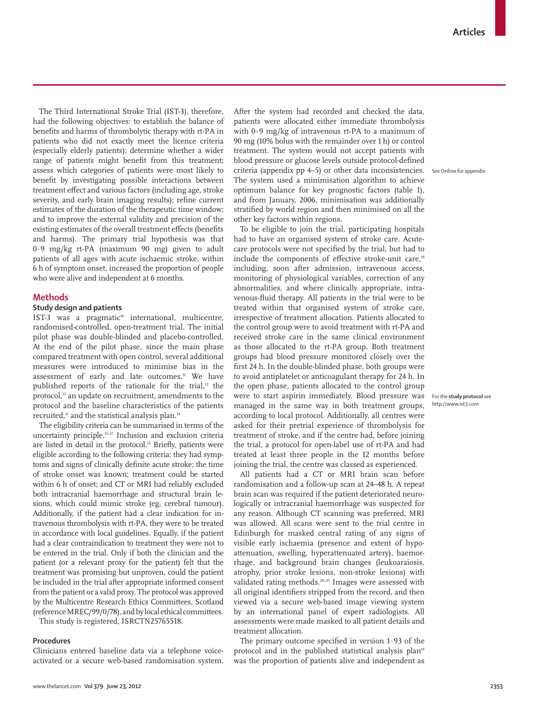The Third International Stroke Trial (IST-3), therefore, had the following objectives: to establish the balance of benefits and harms of thrombolytic therapy with rt-PA in patients who did not exactly meet the licence criteria (especially elderly patients); determine whether a wider range of patients might benefit from this treatment; assess which categories of patients were most likely to benefit by investigating possible interactions between treatment effect and various factors (including age, stroke severity, and early brain imaging results); refine current estimates of the duration of the therapeutic time window; and to improve the external validity and precision of the existing estimates of the overall treatment effects (benefits and harms). The primary trial hypothesis was that 0·9 mg/kg rt-PA (maximum 90 mg) given to adult patients of all ages with acute ischaemic stroke, within 6 h of symptom onset, increased the proportion of people who were alive and independent at 6 months.

# **Methods**

# **Study design and patients**

IST-3 was a pragmatic $10$ <sup>0</sup> international, multicentre, randomised-controlled, open-treatment trial. The initial pilot phase was double-blinded and placebo-controlled. At the end of the pilot phase, since the main phase compared treatment with open control, several additional measures were introduced to minimise bias in the assessment of early and late outcomes.<sup>11</sup> We have published reports of the rationale for the trial,<sup>12</sup> the protocol,<sup>13</sup> an update on recruitment, amendments to the protocol and the baseline characteristics of the patients recruited,<sup>11</sup> and the statistical analysis plan.<sup>14</sup>

The eligibility criteria can be summarised in terms of the uncertainty principle.15–17 Inclusion and exclusion criteria are listed in detail in the protocol.<sup>13</sup> Briefly, patients were eligible according to the following criteria: they had symptoms and signs of clinically definite acute stroke; the time of stroke onset was known; treatment could be started within 6 h of onset; and CT or MRI had reliably excluded both intracranial haemorrhage and structural brain lesions, which could mimic stroke (eg, cerebral tumour). Additionally, if the patient had a clear indication for intravenous thrombolysis with rt-PA, they were to be treated in accordance with local guidelines. Equally, if the patient had a clear contraindication to treatment they were not to be entered in the trial. Only if both the clinician and the patient (or a relevant proxy for the patient) felt that the treatment was promising but unproven, could the patient be included in the trial after appropriate informed consent from the patient or a valid proxy. The protocol was approved by the Multicentre Research Ethics Committees, Scotland (re ference MREC/99/0/78), and by local ethical committees. This study is registered, ISRCTN25765518.

# **Procedures**

Clinicians entered baseline data via a telephone voiceactivated or a secure web-based randomisation system. After the system had recorded and checked the data, patients were allocated either immediate thrombolysis with 0**·**9 mg/kg of intravenous rt-PA to a maximum of 90 mg (10% bolus with the remainder over 1 h) or control treatment. The system would not accept patients with blood pressure or glucose levels outside protocol-defined criteria (appendix pp 4–5) or other data inconsistencies. See **Online** for appendixThe system used a minimisation algorithm to achieve optimum balance for key prognostic factors (table 1), and from January, 2006, minimisation was additionally stratified by world region and then minimised on all the other key factors within regions.

To be eligible to join the trial, participating hospitals had to have an organised system of stroke care. Acutecare protocols were not specified by the trial, but had to include the components of effective stroke-unit care,<sup>19</sup> including, soon after admission, intravenous access, monitoring of physiological variables, correction of any abnormalities, and where clinically appropriate, intravenous-fluid therapy. All patients in the trial were to be treated within that organised system of stroke care, irrespective of treatment allocation. Patients allocated to the control group were to avoid treatment with rt-PA and received stroke care in the same clinical environment as those allocated to the rt-PA group. Both treatment groups had blood pressure monitored closely over the first 24 h. In the double-blinded phase, both groups were to avoid antiplatelet or anticoagulant therapy for 24 h. In the open phase, patients allocated to the control group were to start aspirin immediately. Blood pressure was managed in the same way in both treatment groups, according to local protocol. Additionally, all centres were asked for their pretrial experience of thrombolysis for treatment of stroke, and if the centre had, before joining the trial, a protocol for open-label use of rt-PA and had treated at least three people in the 12 months before joining the trial, the centre was classed as experienced.

All patients had a CT or MRI brain scan before randomisation and a follow-up scan at 24–48 h. A repeat brain scan was required if the patient deteriorated neurologically or intracranial haemorrhage was suspected for any reason. Although CT scanning was preferred, MRI was allowed. All scans were sent to the trial centre in Edinburgh for masked central rating of any signs of visible early ischaemia (presence and extent of hypoattenuation, swelling, hyperattenuated artery), haemorrhage, and background brain changes (leukoaraiosis, atrophy, prior stroke lesions, non-stroke lesions) with validated rating methods.<sup>20-25</sup> Images were assessed with all original identifiers stripped from the record, and then viewed via a secure web-based image viewing system by an international panel of expert radiologists. All assessments were made masked to all patient details and treatment allocation.

The primary outcome specified in version  $1.93$  of the protocol and in the published statistical analysis plan<sup>14</sup> was the proportion of patients alive and independent as

For the **study protocol** see http://www.ist3.com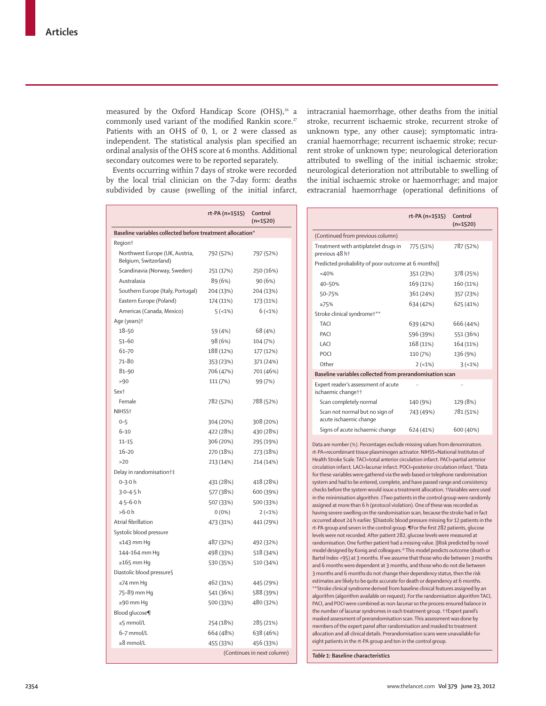measured by the Oxford Handicap Score (OHS),<sup>26</sup> a commonly used variant of the modified Rankin score.<sup>27</sup> Patients with an OHS of 0, 1, or 2 were classed as independent. The statistical analysis plan specified an ordinal analysis of the OHS score at 6 months. Additional secondary outcomes were to be reported separately.

Events occurring within 7 days of stroke were recorded by the local trial clinician on the 7-day form: deaths subdivided by cause (swelling of the initial infarct, intracranial haemorrhage, other deaths from the initial stroke, recurrent ischaemic stroke, recurrent stroke of unknown type, any other cause); symptomatic intracranial haemorrhage; recurrent ischaemic stroke; recurrent stroke of unknown type; neurological deterioration attributed to swelling of the initial ischaemic stroke; neurological deterioration not attributable to swelling of the initial ischaemic stroke or haemorrhage; and major extracranial haemorrhage (operational definitions of

|                                                           | rt-PA (n=1515) | Control<br>$(n=1520)$      |
|-----------------------------------------------------------|----------------|----------------------------|
| Baseline variables collected before treatment allocation* |                |                            |
| Region <sup>+</sup>                                       |                |                            |
| Northwest Europe (UK, Austria,<br>Belgium, Switzerland)   | 792 (52%)      | 797 (52%)                  |
| Scandinavia (Norway, Sweden)                              | 251 (17%)      | 250 (16%)                  |
| Australasia                                               | 89 (6%)        | 90 (6%)                    |
| Southern Europe (Italy, Portugal)                         | 204 (13%)      | 204 (13%)                  |
| Eastern Europe (Poland)                                   | 174 (11%)      | 173 (11%)                  |
| Americas (Canada, Mexico)                                 | 5(1%)          | $6(-1%)$                   |
| Age (years) <sup>†</sup>                                  |                |                            |
| 18-50                                                     | 59 (4%)        | 68 (4%)                    |
| $51 - 60$                                                 | 98 (6%)        | 104 (7%)                   |
| 61-70                                                     | 188 (12%)      | 177 (12%)                  |
| 71-80                                                     | 353 (23%)      | 371 (24%)                  |
| 81-90                                                     | 706 (47%)      | 701 (46%)                  |
| >90                                                       | 111 (7%)       | 99 (7%)                    |
| Sex <sup>+</sup>                                          |                |                            |
| Female                                                    | 782 (52%)      | 788 (52%)                  |
| NIHSS <sup>+</sup>                                        |                |                            |
| $0 - 5$                                                   | 304 (20%)      | 308 (20%)                  |
| $6 - 10$                                                  | 422 (28%)      | 430 (28%)                  |
| $11 - 15$                                                 | 306 (20%)      | 295 (19%)                  |
| $16 - 20$                                                 | 270 (18%)      | 273 (18%)                  |
| >20                                                       | 213 (14%)      | 214 (14%)                  |
| Delay in randomisation†‡                                  |                |                            |
| 0–3.0 h                                                   | 431 (28%)      | 418 (28%)                  |
| $3.0 - 4.5 h$                                             | 577 (38%)      | 600 (39%)                  |
| $4.5 - 6.0 h$                                             | 507 (33%)      | 500 (33%)                  |
| >6.0 h                                                    | $0(0\%)$       | $2(-1%)$                   |
| Atrial fibrillation                                       | 473 (31%)      | 441 (29%)                  |
| Systolic blood pressure                                   |                |                            |
| $\leq$ 143 mm Hq                                          | 487 (32%)      | 492 (32%)                  |
| 144-164 mm Hq                                             | 498 (33%)      | 518 (34%)                  |
| $\geq$ 165 mm Hq                                          | 530 (35%)      | 510 (34%)                  |
| Diastolic blood pressure§                                 |                |                            |
| $\leq$ 74 mm Hq                                           | 462 (31%)      | 445 (29%)                  |
| 75-89 mm Hq                                               | 541 (36%)      | 588 (39%)                  |
| ≥90 mm Hq                                                 | 500 (33%)      | 480 (32%)                  |
| Blood glucose¶                                            |                |                            |
| ≤5 mmol/L                                                 | 254 (18%)      | 285 (21%)                  |
| 6-7 mmol/L                                                | 664 (48%)      | 638 (46%)                  |
| $\geq 8$ mmol/L                                           | 455 (33%)      | 456 (33%)                  |
|                                                           |                | (Continues in next column) |

| (Continued from previous column)<br>Treatment with antiplatelet drugs in<br>previous 48 ht<br><40%<br>40-50%<br>50-75%<br>$\geq 75\%$<br>Stroke clinical syndrome <sup>+**</sup><br><b>TACI</b><br>PACI<br>LACI<br>POCI<br>Other<br>Baseline variables collected from prerandomisation scan<br>Expert reader's assessment of acute<br>ischaemic change††<br>Scan completely normal<br>Scan not normal but no sign of<br>acute ischaemic change<br>Signs of acute ischaemic change                                                                                                                                                                                                                                                                                                                                                                                                                                                                                                                                                                                                                                                                                                                                                                                                                         |                                                   |            |  |  |  |  |  |  |
|-----------------------------------------------------------------------------------------------------------------------------------------------------------------------------------------------------------------------------------------------------------------------------------------------------------------------------------------------------------------------------------------------------------------------------------------------------------------------------------------------------------------------------------------------------------------------------------------------------------------------------------------------------------------------------------------------------------------------------------------------------------------------------------------------------------------------------------------------------------------------------------------------------------------------------------------------------------------------------------------------------------------------------------------------------------------------------------------------------------------------------------------------------------------------------------------------------------------------------------------------------------------------------------------------------------|---------------------------------------------------|------------|--|--|--|--|--|--|
|                                                                                                                                                                                                                                                                                                                                                                                                                                                                                                                                                                                                                                                                                                                                                                                                                                                                                                                                                                                                                                                                                                                                                                                                                                                                                                           |                                                   | $(n=1520)$ |  |  |  |  |  |  |
|                                                                                                                                                                                                                                                                                                                                                                                                                                                                                                                                                                                                                                                                                                                                                                                                                                                                                                                                                                                                                                                                                                                                                                                                                                                                                                           |                                                   |            |  |  |  |  |  |  |
|                                                                                                                                                                                                                                                                                                                                                                                                                                                                                                                                                                                                                                                                                                                                                                                                                                                                                                                                                                                                                                                                                                                                                                                                                                                                                                           | 775 (51%)                                         | 787 (52%)  |  |  |  |  |  |  |
|                                                                                                                                                                                                                                                                                                                                                                                                                                                                                                                                                                                                                                                                                                                                                                                                                                                                                                                                                                                                                                                                                                                                                                                                                                                                                                           | Predicted probability of poor outcome at 6 months |            |  |  |  |  |  |  |
|                                                                                                                                                                                                                                                                                                                                                                                                                                                                                                                                                                                                                                                                                                                                                                                                                                                                                                                                                                                                                                                                                                                                                                                                                                                                                                           | 351 (23%)                                         | 378 (25%)  |  |  |  |  |  |  |
|                                                                                                                                                                                                                                                                                                                                                                                                                                                                                                                                                                                                                                                                                                                                                                                                                                                                                                                                                                                                                                                                                                                                                                                                                                                                                                           | 169 (11%)                                         | 160 (11%)  |  |  |  |  |  |  |
|                                                                                                                                                                                                                                                                                                                                                                                                                                                                                                                                                                                                                                                                                                                                                                                                                                                                                                                                                                                                                                                                                                                                                                                                                                                                                                           | 361 (24%)                                         | 357 (23%)  |  |  |  |  |  |  |
|                                                                                                                                                                                                                                                                                                                                                                                                                                                                                                                                                                                                                                                                                                                                                                                                                                                                                                                                                                                                                                                                                                                                                                                                                                                                                                           | 634 (42%)                                         | 625 (41%)  |  |  |  |  |  |  |
|                                                                                                                                                                                                                                                                                                                                                                                                                                                                                                                                                                                                                                                                                                                                                                                                                                                                                                                                                                                                                                                                                                                                                                                                                                                                                                           |                                                   |            |  |  |  |  |  |  |
|                                                                                                                                                                                                                                                                                                                                                                                                                                                                                                                                                                                                                                                                                                                                                                                                                                                                                                                                                                                                                                                                                                                                                                                                                                                                                                           | 639 (42%)                                         | 666 (44%)  |  |  |  |  |  |  |
|                                                                                                                                                                                                                                                                                                                                                                                                                                                                                                                                                                                                                                                                                                                                                                                                                                                                                                                                                                                                                                                                                                                                                                                                                                                                                                           | 596 (39%)                                         | 551 (36%)  |  |  |  |  |  |  |
|                                                                                                                                                                                                                                                                                                                                                                                                                                                                                                                                                                                                                                                                                                                                                                                                                                                                                                                                                                                                                                                                                                                                                                                                                                                                                                           | 168 (11%)                                         | 164 (11%)  |  |  |  |  |  |  |
|                                                                                                                                                                                                                                                                                                                                                                                                                                                                                                                                                                                                                                                                                                                                                                                                                                                                                                                                                                                                                                                                                                                                                                                                                                                                                                           | 110 (7%)                                          | 136 (9%)   |  |  |  |  |  |  |
|                                                                                                                                                                                                                                                                                                                                                                                                                                                                                                                                                                                                                                                                                                                                                                                                                                                                                                                                                                                                                                                                                                                                                                                                                                                                                                           | $2(-1%)$                                          | $3(-1%)$   |  |  |  |  |  |  |
|                                                                                                                                                                                                                                                                                                                                                                                                                                                                                                                                                                                                                                                                                                                                                                                                                                                                                                                                                                                                                                                                                                                                                                                                                                                                                                           |                                                   |            |  |  |  |  |  |  |
|                                                                                                                                                                                                                                                                                                                                                                                                                                                                                                                                                                                                                                                                                                                                                                                                                                                                                                                                                                                                                                                                                                                                                                                                                                                                                                           |                                                   |            |  |  |  |  |  |  |
|                                                                                                                                                                                                                                                                                                                                                                                                                                                                                                                                                                                                                                                                                                                                                                                                                                                                                                                                                                                                                                                                                                                                                                                                                                                                                                           | 140 (9%)                                          | 129 (8%)   |  |  |  |  |  |  |
|                                                                                                                                                                                                                                                                                                                                                                                                                                                                                                                                                                                                                                                                                                                                                                                                                                                                                                                                                                                                                                                                                                                                                                                                                                                                                                           | 743 (49%)                                         | 781 (51%)  |  |  |  |  |  |  |
|                                                                                                                                                                                                                                                                                                                                                                                                                                                                                                                                                                                                                                                                                                                                                                                                                                                                                                                                                                                                                                                                                                                                                                                                                                                                                                           | 624 (41%)                                         | 600 (40%)  |  |  |  |  |  |  |
| Data are number (%). Percentages exclude missing values from denominators.<br>rt-PA=recombinant tissue plasminogen activator. NIHSS=National Institutes of<br>Health Stroke Scale. TACI=total anterior circulation infarct. PACI=partial anterior<br>circulation infarct. LACI=lacunar infarct. POCI=posterior circulation infarct. *Data<br>for these variables were gathered via the web-based or telephone randomisation<br>system and had to be entered, complete, and have passed range and consistency<br>checks before the system would issue a treatment allocation. +Variables were used<br>in the minimisation algorithm. #Two patients in the control group were randomly<br>assigned at more than 6 h (protocol violation). One of these was recorded as<br>having severe swelling on the randomisation scan, because the stroke had in fact<br>occurred about 24 h earlier. SDiastolic blood pressure missing for 12 patients in the<br>rt-PA group and seven in the control group. ¶For the first 282 patients, glucose<br>levels were not recorded. After patient 282, glucose levels were measured at<br>randomisation. One further patient had a missing value.   Risk predicted by novel<br>model designed by Konig and colleagues. <sup>18</sup> This model predicts outcome (death or |                                                   |            |  |  |  |  |  |  |

and 6 months were dependent at 3 months, and those who do not die between 3 months and 6 months do not change their dependency status, then the risk estimates are likely to be quite accurate for death or dependency at 6 months. \*\*Stroke clinical syndrome derived from baseline clinical features assigned by an algorithm (algorithm available on request). For the randomisation algorithm TACI, PACI, and POCI were combined as non-lacunar so the process ensured balance in the number of lacunar syndromes in each treatment group. ††Expert panel's masked assessment of prerandomisation scan. This assessment was done by members of the expert panel after randomisation and masked to treatment allocation and all clinical details. Prerandomisation scans were unavailable for

eight patients in the rt-PA group and ten in the control group.

*Table 1:* **Baseline characteristics**

**2354** www.thelancet.com**Vol 379 June 23, 2012**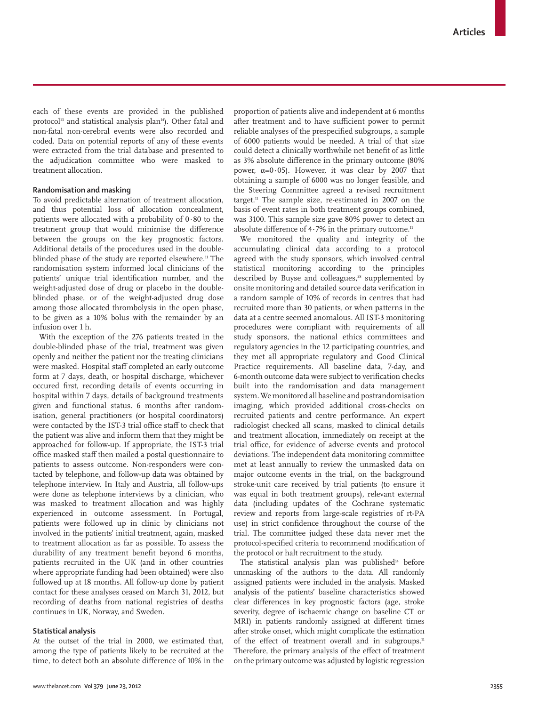each of these events are provided in the published protocol<sup>13</sup> and statistical analysis plan<sup>14</sup>). Other fatal and non-fatal non-cerebral events were also recorded and coded. Data on potential reports of any of these events were extracted from the trial database and presented to the adjudication committee who were masked to treatment allocation.

# **Randomisation and masking**

To avoid predictable alternation of treatment allocation, and thus potential loss of allocation concealment, patients were allocated with a probability of 0·80 to the treatment group that would minimise the difference between the groups on the key prognostic factors. Additional details of the procedures used in the doubleblinded phase of the study are reported elsewhere.<sup>11</sup> The randomisation system informed local clinicians of the patients' unique trial identification number, and the weight-adjusted dose of drug or placebo in the doubleblinded phase, or of the weight-adjusted drug dose among those allocated thrombolysis in the open phase, to be given as a 10% bolus with the remainder by an infusion over 1 h.

With the exception of the 276 patients treated in the double-blinded phase of the trial, treatment was given openly and neither the patient nor the treating clinicians were masked. Hospital staff completed an early outcome form at 7 days, death, or hospital discharge, whichever occured first, recording details of events occurring in hospital within 7 days, details of background treatments given and functional status. 6 months after randomisation, general practitioners (or hospital coordinators) were contacted by the IST-3 trial office staff to check that the patient was alive and inform them that they might be approached for follow-up. If appropriate, the IST-3 trial office masked staff then mailed a postal questionnaire to patients to assess outcome. Non-responders were contacted by telephone, and follow-up data was obtained by telephone interview. In Italy and Austria, all follow-ups were done as telephone interviews by a clinician, who was masked to treatment allocation and was highly experienced in outcome assessment. In Portugal, patients were followed up in clinic by clinicians not involved in the patients' initial treatment, again, masked to treatment allocation as far as possible. To assess the durability of any treatment benefit beyond 6 months, patients recruited in the UK (and in other countries where appropriate funding had been obtained) were also followed up at 18 months. All follow-up done by patient contact for these analyses ceased on March 31, 2012, but recording of deaths from national registries of deaths continues in UK, Norway, and Sweden.

# **Statistical analysis**

At the outset of the trial in 2000, we estimated that, among the type of patients likely to be recruited at the time, to detect both an absolute difference of 10% in the proportion of patients alive and independent at 6 months after treatment and to have sufficient power to permit reliable analyses of the prespecified subgroups, a sample of 6000 patients would be needed. A trial of that size could detect a clinically worthwhile net benefit of as little as 3% absolute difference in the primary outcome (80%) power, α=0**·**05). However, it was clear by 2007 that obtaining a sample of 6000 was no longer feasible, and the Steering Committee agreed a revised recruitment target.11 The sample size, re-estimated in 2007 on the basis of event rates in both treatment groups combined, was 3100. This sample size gave 80% power to detect an absolute difference of 4*·7%* in the primary outcome.<sup>11</sup>

We monitored the quality and integrity of the accumulating clinical data according to a protocol agreed with the study sponsors, which involved central statistical monitoring according to the principles described by Buyse and colleagues,<sup>28</sup> supplemented by onsite monitoring and detailed source data verification in a random sample of 10% of records in centres that had recruited more than 30 patients, or when patterns in the data at a centre seemed anomalous. All IST-3 monitoring procedures were compliant with requirements of all study sponsors, the national ethics committees and regulatory agencies in the 12 participating countries, and they met all appropriate regulatory and Good Clinical Practice requirements. All baseline data, 7-day, and 6-month outcome data were subject to verification checks built into the randomisation and data management system. We monitored all baseline and postrandomisation imaging, which provided additional cross-checks on recruited patients and centre performance. An expert radiologist checked all scans, masked to clinical details and treatment allocation, immediately on receipt at the trial office, for evidence of adverse events and protocol deviations. The independent data monitoring committee met at least annually to review the unmasked data on major outcome events in the trial, on the background stroke-unit care received by trial patients (to ensure it was equal in both treatment groups), relevant external data (including updates of the Cochrane systematic review and reports from large-scale registries of rt-PA use) in strict confidence throughout the course of the trial. The committee judged these data never met the protocol-specified criteria to recommend modification of the protocol or halt recruitment to the study.

The statistical analysis plan was published $14$  before unmasking of the authors to the data. All randomly assigned patients were included in the analysis. Masked analysis of the patients' baseline characteristics showed clear differences in key prognostic factors (age, stroke severity, degree of ischaemic change on baseline CT or MRI) in patients randomly assigned at different times after stroke onset, which might complicate the estimation of the effect of treatment overall and in subgroups.<sup>11</sup> Therefore, the primary analysis of the effect of treatment on the primary outcome was adjusted by logistic regression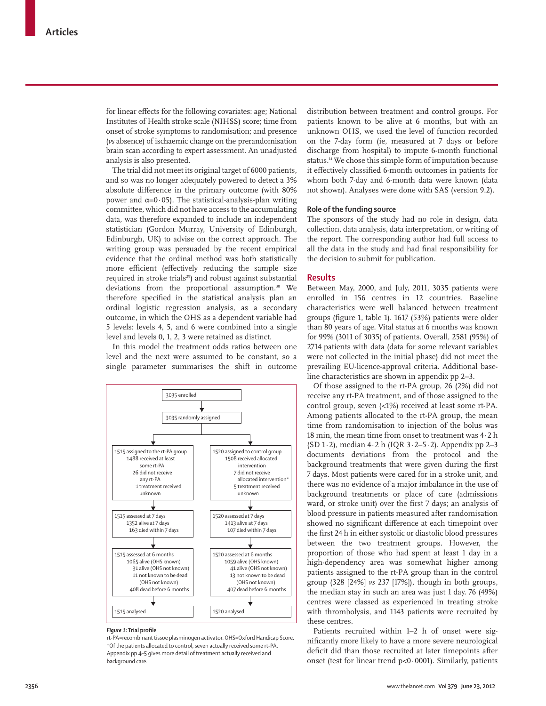for linear effects for the following covariates: age; National Institutes of Health stroke scale (NIHSS) score; time from onset of stroke symptoms to randomisation; and presence (*vs* absence) of ischaemic change on the prerandomisation brain scan according to expert assessment. An unadjusted analysis is also presented.

The trial did not meet its original target of 6000 patients, and so was no longer adequately powered to detect a 3% absolute difference in the primary outcome (with 80% power and α=0·05). The statistical-analysis-plan writing committee, which did not have access to the accumulating data, was therefore expanded to include an independent statistician (Gordon Murray, University of Edinburgh, Edinburgh, UK) to advise on the correct approach. The writing group was persuaded by the recent empirical evidence that the ordinal method was both statistically more efficient (effectively reducing the sample size required in stroke trials<sup>29</sup>) and robust against substantial deviations from the proportional assumption.<sup>30</sup> We therefore specified in the statistical analysis plan an ordinal logistic regression analysis, as a secondary outcome, in which the OHS as a dependent variable had 5 levels: levels 4, 5, and 6 were combined into a single level and levels 0, 1, 2, 3 were retained as distinct.

In this model the treatment odds ratios between one level and the next were assumed to be constant, so a single parameter summarises the shift in outcome



#### **Figure 1:** Trial profile

rt-PA=recombinant tissue plasminogen activator. OHS=Oxford Handicap Score. \*Of the patients allocated to control, seven actually received some rt-PA. Appendix pp 4–5 gives more detail of treatment actually received and background care.

distribution between treatment and control groups. For patients known to be alive at 6 months, but with an unknown OHS, we used the level of function recorded on the 7-day form (ie, measured at 7 days or before discharge from hospital) to impute 6-month functional status.14 We chose this simple form of imputation because it effectively classified 6-month outcomes in patients for whom both 7-day and 6-month data were known (data not shown). Analyses were done with SAS (version 9.2).

# **Role of the funding source**

The sponsors of the study had no role in design, data collection, data analysis, data interpretation, or writing of the report. The corresponding author had full access to all the data in the study and had final responsibility for the decision to submit for publication.

# **Results**

Between May, 2000, and July, 2011, 3035 patients were enrolled in 156 centres in 12 countries. Baseline characteristics were well balanced between treatment groups (figure 1, table 1). 1617 (53%) patients were older than 80 years of age. Vital status at 6 months was known for 99% (3011 of 3035) of patients. Overall, 2581 (95%) of 2714 patients with data (data for some relevant variables were not collected in the initial phase) did not meet the prevailing EU-licence-approval criteria. Additional baseline characteristics are shown in appendix pp 2–3.

Of those assigned to the rt-PA group, 26 (2%) did not receive any rt-PA treatment, and of those assigned to the control group, seven (<1%) received at least some rt-PA. Among patients allocated to the rt-PA group, the mean time from randomisation to injection of the bolus was 18 min, the mean time from onset to treatment was 4·2 h  $(SD 1.2)$ , median  $4.2 h (IOR 3.2–5.2)$ . Appendix pp 2–3 documents deviations from the protocol and the background treatments that were given during the first 7 days. Most patients were cared for in a stroke unit, and there was no evidence of a major imbalance in the use of background treatments or place of care (admissions ward, or stroke unit) over the first 7 days; an analysis of blood pressure in patients measured after randomisation showed no significant difference at each timepoint over the first 24 h in either systolic or diastolic blood pressures between the two treatment groups. However, the proportion of those who had spent at least 1 day in a high-dependency area was somewhat higher among patients assigned to the rt-PA group than in the control group (328 [24%] *vs* 237 [17%]), though in both groups, the median stay in such an area was just 1 day. 76 (49%) centres were classed as experienced in treating stroke with thrombolysis, and 1143 patients were recruited by these centres.

Patients recruited within 1–2 h of onset were significantly more likely to have a more severe neurological deficit did than those recruited at later timepoints after onset (test for linear trend  $p<0.0001$ ). Similarly, patients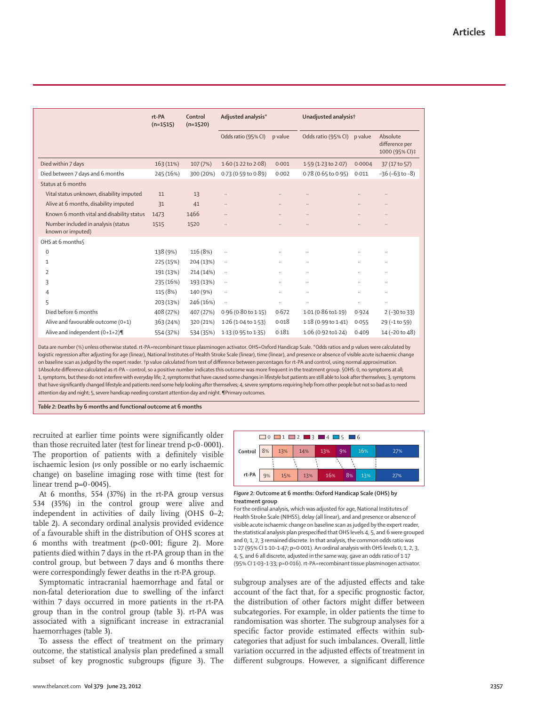|                                                          | rt-PA<br>$(n=1515)$ | Control<br>$(n=1520)$ | Adjusted analysis*    |          | Unadjusted analysis†          |                      |                                               |
|----------------------------------------------------------|---------------------|-----------------------|-----------------------|----------|-------------------------------|----------------------|-----------------------------------------------|
|                                                          |                     |                       | Odds ratio (95% CI)   | p value  | Odds ratio (95% CI)           | p value              | Absolute<br>difference per<br>1000 (95% CI) ‡ |
| Died within 7 days                                       | 163(11%)            | 107 (7%)              | $1.60$ (1.22 to 2.08) | 0.001    | 1.59 (1.23 to 2.07)           | 0.0004               | 37 (17 to 57)                                 |
| Died between 7 days and 6 months                         | 245 (16%)           | 300 (20%)             | 0.73 (0.59 to 0.89)   | 0.002    | 0.78 (0.65 to 0.95)           | 0.011                | $-36 (-63 to -8)$                             |
| Status at 6 months                                       |                     |                       |                       |          |                               |                      |                                               |
| Vital status unknown, disability imputed                 | 11                  | 13                    |                       |          |                               |                      |                                               |
| Alive at 6 months, disability imputed                    | 31                  | 41                    |                       |          | $\ddot{\phantom{a}}$          |                      |                                               |
| Known 6 month vital and disability status                | 1473                | 1466                  | $\ldots$              |          |                               |                      | $\ddotsc$                                     |
| Number included in analysis (status<br>known or imputed) | 1515                | 1520                  | $\ldots$              | $\ldots$ | $\ldots$                      | $\ldots$             | $\ddotsc$                                     |
| OHS at 6 months                                          |                     |                       |                       |          |                               |                      |                                               |
| $\mathbf 0$                                              | 138 (9%)            | 116 (8%)              | $\ldots$              |          |                               |                      |                                               |
| $\mathbf{1}$                                             | 225 (15%)           | 204 (13%)             | $\ldots$              |          |                               | $\ddotsc$            | $\ddots$                                      |
| 2                                                        | 191 (13%)           | 214 (14%)             | $\ldots$              |          | $\ddotsc$                     | $\cdot$ .            | $\ddots$                                      |
| 3                                                        | 235 (16%)           | 193 (13%)             | $\ldots$              |          |                               | $\ddot{\phantom{0}}$ | $\ddotsc$                                     |
| $\overline{4}$                                           | 115 (8%)            | 140 (9%)              | $\ldots$              |          |                               | $\ddotsc$            | $\ddots$                                      |
| 5                                                        | 203 (13%)           | 246 (16%)             | $\ldots$              | $\ldots$ | $\ddotsc$                     | $\ldots$             | $\ddots$                                      |
| Died before 6 months                                     | 408 (27%)           | 407 (27%)             | $0.96$ (0.80 to 1.15) | 0.672    | $1.01(0.86 \text{ to } 1.19)$ | 0.924                | $2 (-30 to 33)$                               |
| Alive and favourable outcome (0+1)                       | 363 (24%)           | 320 (21%)             | $1.26$ (1.04 to 1.53) | 0.018    | 1.18 (0.99 to 1.41)           | 0.055                | $29(-1 to 59)$                                |
| Alive and independent $(0+1+2)\P$                        | 554 (37%)           | 534 (35%)             | 1.13 (0.95 to 1.35)   | 0.181    | 1.06 (0.92 to 1.24)           | 0.409                | 14 (-20 to 48)                                |

Data are number (%) unless otherwise stated. rt-PA=recombinant tissue plasminogen activator. OHS=Oxford Handicap Scale. \*Odds ratios and p values were calculated by logistic regression after adjusting for age (linear), National Institutes of Health Stroke Scale (linear), time (linear), and presence or absence of visible acute ischaemic change on baseline scan as judged by the expert reader. †p value calculated from test of difference between percentages for rt-PA and control, using normal approximation. ‡Absolute diff erence calculated as rt-PA – control, so a positive number indicates this outcome was more frequent in the treatment group. §OHS: 0, no symptoms at all; 1, symptoms, but these do not interfere with everyday life; 2, symptoms that have caused some changes in lifestyle but patients are still able to look after themselves; 3, symptoms that have significantly changed lifestyle and patients need some help looking after themselves; 4, severe symptoms requiring help from other people but not so bad as to need attention day and night; 5, severe handicap needing constant attention day and night. ¶Primary outcomes.

*Table 2:* **Deaths by 6 months and functional outcome at 6 months**

recruited at earlier time points were significantly older than those recruited later (test for linear trend p<0·0001). The proportion of patients with a definitely visible ischaemic lesion (*vs* only possible or no early ischaemic change) on baseline imaging rose with time (test for linear trend  $p=0.0045$ ).

At 6 months, 554 (37%) in the rt-PA group versus 534 (35%) in the control group were alive and independent in activities of daily living (OHS 0–2; table 2). A secondary ordinal analysis provided evidence of a favourable shift in the distribution of OHS scores at 6 months with treatment (p<0 $\cdot$ 001; figure 2). More patients died within 7 days in the rt-PA group than in the control group, but between 7 days and 6 months there were correspondingly fewer deaths in the rt-PA group.

Symptomatic intracranial haemorrhage and fatal or non-fatal deterioration due to swelling of the infarct within 7 days occurred in more patients in the rt-PA group than in the control group (table 3). rt-PA was associated with a significant increase in extracranial haemorrhages (table 3).

To assess the effect of treatment on the primary outcome, the statistical analysis plan predefined a small subset of key prognostic subgroups (figure 3). The



#### *Figure 2:* **Outcome at 6 months: Oxford Handicap Scale (OHS) by treatment group**

For the ordinal analysis, which was adjusted for age, National Institutes of Health Stroke Scale (NIHSS), delay (all linear), and and presence or absence of visible acute ischaemic change on baseline scan as judged by the expert reader, the statistical analysis plan prespecified that OHS levels 4, 5, and 6 were grouped and 0, 1, 2, 3 remained discrete. In that analysis, the common odds ratio was 1·27 (95% CI 1·10–1·47; p=0·001). An ordinal analysis with OHS levels 0, 1, 2, 3, 4, 5, and 6 all discrete, adjusted in the same way, gave an odds ratio of 1·17 (95% CI 1·03–1·33; p=0·016). rt-PA=recombinant tissue plasminogen activator.

subgroup analyses are of the adjusted effects and take account of the fact that, for a specific prognostic factor, the distribution of other factors might differ between subcategories. For example, in older patients the time to randomisation was shorter. The subgroup analyses for a specific factor provide estimated effects within subcategories that adjust for such imbalances. Overall, little variation occurred in the adjusted effects of treatment in different subgroups. However, a significant difference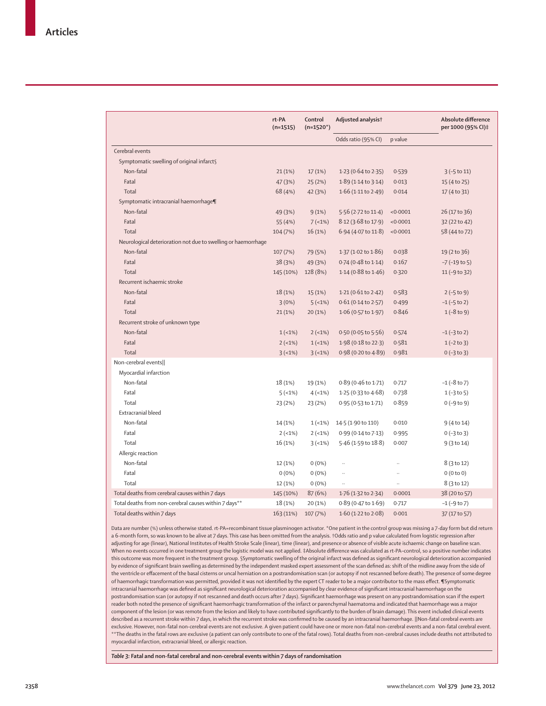|                                                               | rt-PA<br>$(n=1515)$ | Control<br>$(n=1520*)$ | Adjusted analysist            |          | Absolute difference<br>per 1000 (95% CI)‡ |
|---------------------------------------------------------------|---------------------|------------------------|-------------------------------|----------|-------------------------------------------|
|                                                               |                     |                        | Odds ratio (95% CI)           | p value  |                                           |
| Cerebral events                                               |                     |                        |                               |          |                                           |
| Symptomatic swelling of original infarcts                     |                     |                        |                               |          |                                           |
| Non-fatal                                                     | 21(1%)              | 17(1%)                 | $1.23(0.64 \text{ to } 2.35)$ | 0.539    | $3(-5 to 11)$                             |
| Fatal                                                         | 47 (3%)             | 25(2%)                 | 1.89 (1.14 to 3.14)           | 0.013    | 15 (4 to 25)                              |
| Total                                                         | 68 (4%)             | 42 (3%)                | $1.66$ (1.11 to 2.49)         | 0.014    | 17 (4 to 31)                              |
| Symptomatic intracranial haemorrhage¶                         |                     |                        |                               |          |                                           |
| Non-fatal                                                     | 49 (3%)             | 9(1%)                  | 5.56 (2.72 to 11.4)           | < 0.0001 | 26 (17 to 36)                             |
| Fatal                                                         | 55 (4%)             | 7(1%)                  | 8.12 (3.68 to 17.9)           | < 0.0001 | 32 (22 to 42)                             |
| Total                                                         | 104 (7%)            | 16 (1%)                | $6.94(4.07 \text{ to } 11.8)$ | < 0.0001 | 58 (44 to 72)                             |
| Neurological deterioration not due to swelling or haemorrhage |                     |                        |                               |          |                                           |
| Non-fatal                                                     | 107 (7%)            | 79 (5%)                | $1.37(1.02 \text{ to } 1.86)$ | 0.038    | 19 (2 to 36)                              |
| Fatal                                                         | 38 (3%)             | 49 (3%)                | 0.74 (0.48 to 1.14)           | 0.167    | $-7$ ( $-19$ to 5)                        |
| Total                                                         | 145 (10%)           | 128 (8%)               | $1.14(0.88 \text{ to } 1.46)$ | 0.320    | 11 (-9 to 32)                             |
| Recurrent ischaemic stroke                                    |                     |                        |                               |          |                                           |
| Non-fatal                                                     | 18 (1%)             | 15(1%)                 | $1.21(0.61$ to $2.42)$        | 0.583    | $2(-5 to 9)$                              |
| Fatal                                                         | 3(0%)               | 5(1%)                  | $0.61(0.14$ to $2.57)$        | 0.499    | $-1$ ( $-5$ to 2)                         |
| Total                                                         | 21(1%)              | 20(1%)                 | 1.06 (0.57 to 1.97)           | 0.846    | $1(-8 to 9)$                              |
| Recurrent stroke of unknown type                              |                     |                        |                               |          |                                           |
| Non-fatal                                                     | $1(-1%)$            | $2(-1%)$               | $0.50$ (0.05 to 5.56)         | 0.574    | $-1$ ( $-3$ to 2)                         |
| Fatal                                                         | $2(-1%)$            | $1(-1%)$               | 1.98 (0.18 to 22.3)           | 0.581    | $1(-2 to 3)$                              |
| Total                                                         | $3 (-1%)$           | $3(-1%)$               | 0.98 (0.20 to 4.89)           | 0.981    | $0(-3 to 3)$                              |
| Non-cerebral events                                           |                     |                        |                               |          |                                           |
| Myocardial infarction                                         |                     |                        |                               |          |                                           |
| Non-fatal                                                     | 18 (1%)             | 19 (1%)                | 0.89 (0.46 to 1.71)           | 0.717    | $-1(-8 \text{ to } 7)$                    |
| Fatal                                                         | 5(1%)               | 4(1%)                  | $1.25(0.33)$ to $4.68$ )      | 0.738    | $1(-3 to 5)$                              |
| Total                                                         | 23 (2%)             | 23 (2%)                | 0.95 (0.53 to 1.71)           | 0.859    | $0(-9 to 9)$                              |
| <b>Extracranial bleed</b>                                     |                     |                        |                               |          |                                           |
| Non-fatal                                                     | 14 (1%)             | $1(-1%)$               | 14.5 (1.90 to 110)            | 0.010    | 9(4 to 14)                                |
| Fatal                                                         | $2(-1%)$            | $2(-1%)$               | 0.99 (0.14 to 7.13)           | 0.995    | $0(-3 to 3)$                              |
| Total                                                         | 16 (1%)             | $3 (-1%)$              | 5.46 (1.59 to 18.8)           | 0.007    | 9(3 to 14)                                |
| Allergic reaction                                             |                     |                        |                               |          |                                           |
| Non-fatal                                                     | 12 (1%)             | $0(0\%)$               | $\ldots$                      |          | 8 (3 to 12)                               |
| Fatal                                                         | $0(0\%)$            | $0(0\%)$               | $\ddotsc$                     |          | 0(0 to 0)                                 |
| Total                                                         | 12 (1%)             | $0(0\%)$               | $\ddotsc$                     |          | 8 (3 to 12)                               |
| Total deaths from cerebral causes within 7 days               | 145 (10%)           | 87 (6%)                | 1.76 (1.32 to 2.34)           | 0.0001   | 38 (20 to 57)                             |
| Total deaths from non-cerebral causes within 7 days**         | 18 (1%)             | 20 (1%)                | 0.89 (0.47 to 1.69)           | 0.717    | $-1$ ( $-9$ to $7$ )                      |
| Total deaths within 7 days                                    | 163 (11%)           | 107 (7%)               | 1.60 (1.22 to 2.08)           | 0.001    | 37 (17 to 57)                             |

Data are number (%) unless otherwise stated. rt-PA=recombinant tissue plasminogen activator. \*One patient in the control group was missing a 7-day form but did return a 6-month form, so was known to be alive at 7 days. This case has been omitted from the analysis. †Odds ratio and p value calculated from logistic regression after adjusting for age (linear), National Institutes of Health Stroke Scale (linear), time (linear), and presence or absence of visible acute ischaemic change on baseline scan. When no events occurred in one treatment group the logistic model was not applied. ‡Absolute difference was calculated as rt-PA-control, so a positive number indicates this outcome was more frequent in the treatment group. SSymptomatic swelling of the original infarct was defined as significant neurological deterioration accompanied by evidence of significant brain swelling as determined by the independent masked expert assessment of the scan defined as: shift of the midline away from the side of the ventricle or effacement of the basal cisterns or uncal herniation on a postrandomisation scan (or autopsy if not rescanned before death). The presence of some degree of haemorrhagic transformation was permitted, provided it was not identified by the expert CT reader to be a major contributor to the mass effect. ISymptomatic intracranial haemorrhage was defined as significant neurological deterioration accompanied by clear evidence of significant intracranial haemorrhage on the postrandomisation scan (or autopsy if not rescanned and death occurs after 7 days). Significant haemorrhage was present on any postrandomisation scan if the expert reader both noted the presence of significant haemorrhagic transformation of the infarct or parenchymal haematoma and indicated that haemorrhage was a major component of the lesion (or was remote from the lesion and likely to have contributed significantly to the burden of brain damage). This event included clinical events described as a recurrent stroke within 7 days, in which the recurrent stroke was confirmed to be caused by an intracranial haemorrhage. ||Non-fatal cerebral events are exclusive. However, non-fatal non-cerebral events are not exclusive. A given patient could have one or more non-fatal non-cerebral events and a non-fatal cerebral event. \*\*The deaths in the fatal rows are exclusive (a patient can only contribute to one of the fatal rows). Total deaths from non-cerebral causes include deaths not attributed to myocardial infarction, extracranial bleed, or allergic reaction.

*Table 3:* **Fatal and non-fatal cerebral and non-cerebral events within 7 days of randomisation**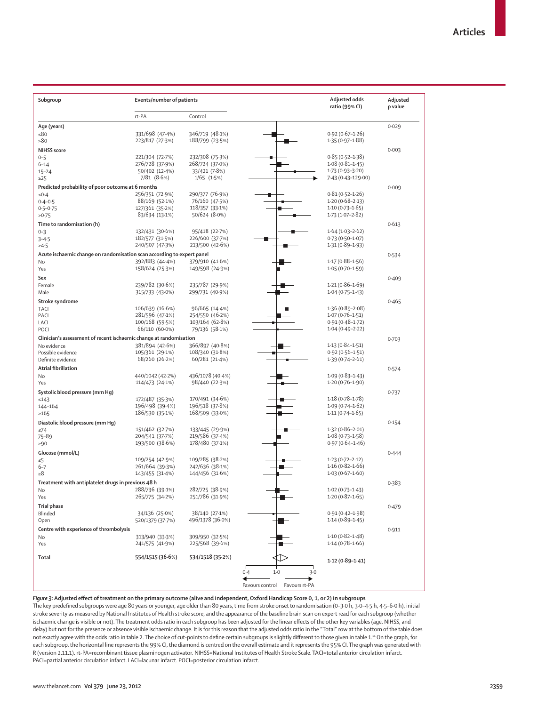| Subgroup                                                               | Events/number of patients           |                                    |                                         | Adjusted odds<br>ratio (99% CI)            |       |
|------------------------------------------------------------------------|-------------------------------------|------------------------------------|-----------------------------------------|--------------------------------------------|-------|
|                                                                        | rt-PA                               | Control                            |                                         |                                            |       |
| Age (years)                                                            |                                     |                                    |                                         |                                            | 0.029 |
| ≤80                                                                    | 331/698 (47.4%)                     | 346/719 (48.1%)                    |                                         | $0.92(0.67 - 1.26)$                        |       |
| >80                                                                    | 223/817 (27.3%)                     | 188/799 (23.5%)                    |                                         | $1.35(0.97 - 1.88)$                        |       |
| <b>NIHSS</b> score                                                     |                                     |                                    |                                         |                                            | 0.003 |
| $0 - 5$<br>$6 - 14$                                                    | 221/304 (72.7%)<br>276/728 (37.9%)  | 232/308 (75.3%)<br>268/724 (37.0%) |                                         | $0.85(0.52 - 1.38)$<br>$1.08(0.81 - 1.45)$ |       |
| $15 - 24$                                                              | 50/402 (12-4%)                      | 33/421 (7.8%)                      |                                         | $1.73(0.93 - 3.20)$                        |       |
| >25                                                                    | 7/81 (8.6%)                         | $1/65$ $(1.5%)$                    |                                         | 7.43 (0.43-129.00)                         |       |
| Predicted probability of poor outcome at 6 months                      |                                     |                                    |                                         |                                            | 0.009 |
| <0.4                                                                   | 256/351 (72.9%)                     | 290/377 (76.9%)                    |                                         | $0.81(0.52 - 1.26)$                        |       |
| $0.4 - 0.5$                                                            | 88/169 (52.1%)                      | 76/160 (47.5%)                     |                                         | $1.20(0.68 - 2.13)$                        |       |
| $0.5 - 0.75$<br>>0.75                                                  | 127/361 (35.2%)<br>83/634 (13.1%)   | 118/357 (33.1%)<br>50/624 (8.0%)   |                                         | $1.10(0.73 - 1.65)$<br>$1.73(1.07-2.82)$   |       |
|                                                                        |                                     |                                    |                                         |                                            |       |
| Time to randomisation (h)<br>$0 - 3$                                   | 132/431 (30.6%)                     | 95/418 (22.7%)                     |                                         | $1.64(1.03-2.62)$                          | 0.613 |
| $3 - 4.5$                                                              | 182/577 (31.5%)                     | 226/600 (37.7%)                    |                                         | $0.73(0.50-1.07)$                          |       |
| >4.5                                                                   | 240/507 (47.3%)                     | 213/500 (42.6%)                    |                                         | $1.31(0.89 - 1.93)$                        |       |
| Acute ischaemic change on randomisation scan according to expert panel |                                     |                                    |                                         |                                            | 0.534 |
| No                                                                     | 392/883 (44-4%)                     | 379/910 (41.6%)                    |                                         | $1.17(0.88 - 1.56)$                        |       |
| Yes                                                                    | 158/624 (25.3%)                     | 149/598 (24.9%)                    |                                         | $1.05(0.70 - 1.59)$                        |       |
| Sex                                                                    |                                     |                                    |                                         |                                            | 0.409 |
| Female                                                                 | 239/782 (30.6%)                     | 235/787 (29.9%)                    |                                         | $1.21(0.86 - 1.69)$                        |       |
| Male                                                                   | 315/733 (43.0%)                     | 299/731 (40.9%)                    |                                         | $1.04(0.75 - 1.43)$                        |       |
| Stroke syndrome                                                        |                                     |                                    |                                         |                                            | 0.465 |
| <b>TACI</b><br>PACI                                                    | 106/639 (16.6%)<br>281/596 (47.1%)  | 96/665 (14.4%)<br>254/550 (46.2%)  |                                         | $1.36(0.89 - 2.08)$<br>$1.07(0.76 - 1.51)$ |       |
| LACI                                                                   | 100/168 (59.5%)                     | 103/164 (62.8%)                    |                                         | $0.91(0.48 - 1.72)$                        |       |
| POCI                                                                   | 66/110 (60.0%)                      | 79/136 (58.1%)                     |                                         | $1.04(0.49 - 2.22)$                        |       |
| Clinician's assessment of recent ischaemic change at randomisation     |                                     |                                    |                                         |                                            | 0.703 |
| No evidence                                                            | 381/894 (42.6%)                     | 366/897 (40.8%)                    |                                         | $1.13(0.84 - 1.51)$                        |       |
| Possible evidence                                                      | 105/361 (29.1%)                     | 108/340 (31.8%)                    |                                         | $0.92(0.56 - 1.51)$                        |       |
| Definite evidence                                                      | 68/260 (26.2%)                      | 60/281 (21.4%)                     |                                         | $1.39(0.74 - 2.61)$                        |       |
| <b>Atrial fibrillation</b>                                             |                                     |                                    |                                         |                                            | 0.574 |
| No<br>Yes                                                              | 440/1042 (42-2%)<br>114/473 (24.1%) | 436/1078 (40.4%)<br>98/440 (22.3%) |                                         | $1.09(0.83 - 1.43)$<br>$1.20(0.76 - 1.90)$ |       |
|                                                                        |                                     |                                    |                                         |                                            |       |
| Systolic blood pressure (mm Hg)<br>$\leq 143$                          | 172/487 (35.3%)                     | 170/491 (34.6%)                    |                                         | $1.18(0.78 - 1.78)$                        | 0.737 |
| 144-164                                                                | 196/498 (39.4%)                     | 196/518 (37.8%)                    |                                         | $1.09(0.74 - 1.62)$                        |       |
| $\geq 165$                                                             | 186/530 (35.1%)                     | 168/509 (33.0%)                    |                                         | $1.11(0.74 - 1.65)$                        |       |
| Diastolic blood pressure (mm Hq)                                       |                                     |                                    |                                         |                                            | 0.154 |
| $\leq 74$                                                              | 151/462 (32.7%)                     | 133/445 (29.9%)                    |                                         | $1.32(0.86 - 2.01)$                        |       |
| 75-89                                                                  | 204/541 (37.7%)                     | 219/586 (37.4%)                    |                                         | $1.08(0.73 - 1.58)$                        |       |
| >90                                                                    | 193/500 (38.6%)                     | 178/480 (37.1%)                    |                                         | $0.97(0.64 - 1.46)$                        |       |
| Glucose (mmol/L)                                                       |                                     |                                    |                                         |                                            | 0.444 |
| ≤5<br>$6 - 7$                                                          | 109/254 (42.9%)<br>261/664 (39.3%)  | 109/285 (38.2%)<br>242/636 (38.1%) |                                         | $1.23(0.72 - 2.12)$<br>$1.16(0.82 - 1.66)$ |       |
| $\geq 8$                                                               | 143/455 (31.4%)                     | 144/456 (31.6%)                    |                                         | $1.03(0.67 - 1.60)$                        |       |
| Treatment with antiplatelet drugs in previous 48 h                     |                                     |                                    |                                         |                                            | 0.383 |
| No                                                                     | 288/736 (39.1%)                     | 282/725 (38.9%)                    |                                         | $1.02(0.73 - 1.43)$                        |       |
| Yes                                                                    | 265/775 (34.2%)                     | 251/786 (31.9%)                    |                                         | $1.20(0.87 - 1.65)$                        |       |
| Trial phase                                                            |                                     |                                    |                                         |                                            | 0.479 |
| Blinded                                                                | 34/136 (25.0%)                      | 38/140 (27.1%)                     |                                         | $0.91(0.42 - 1.98)$                        |       |
| Open                                                                   | 520/1379 (37.7%)                    | 496/1378 (36.0%)                   |                                         | $1.14(0.89 - 1.45)$                        |       |
| Centre with experience of thrombolysis                                 |                                     |                                    |                                         |                                            | 0.911 |
| No                                                                     | 313/940 (33.3%)                     | 309/950 (32.5%)                    |                                         | $1.10(0.82 - 1.48)$                        |       |
| Yes                                                                    | 241/575 (41.9%)                     | 225/568 (39.6%)                    |                                         | $1.14(0.78-1.66)$                          |       |
| Total                                                                  | 554/1515 (36.6%)                    | 534/1518 (35-2%)                   |                                         |                                            |       |
|                                                                        |                                     |                                    |                                         | $1.12(0.89 - 1.41)$                        |       |
|                                                                        |                                     |                                    | 0.4<br>3.0<br>$1-0$                     |                                            |       |
|                                                                        |                                     |                                    | ↞<br>▶<br>Favours control Favours rt-PA |                                            |       |
|                                                                        |                                     |                                    |                                         |                                            |       |

# Figure 3: Adjusted effect of treatment on the primary outcome (alive and independent, Oxford Handicap Score 0, 1, or 2) in subgroups

The key predefined subgroups were age 80 years or younger, age older than 80 years, time from stroke onset to randomisation (0-3·0 h, 3·0-4·5 h, 4·5-6·0 h), initial stroke severity as measured by National Institutes of Health stroke score, and the appearance of the baseline brain scan on expert read for each subgroup (whether ischaemic change is visible or not). The treatment odds ratio in each subgroup has been adjusted for the linear effects of the other key variables (age, NIHSS, and delay) but not for the presence or absence visible ischaemic change. It is for this reason that the adjusted odds ratio in the "Total" row at the bottom of the table does not exactly agree with the odds ratio in table 2. The choice of cut-points to define certain subgroups is slightly different to those given in table 1.<sup>14</sup> On the graph, for each subgroup, the horizontal line represents the 99% CI, the diamond is centred on the overall estimate and it represents the 95% CI. The graph was generated with R (version 2.11.1). rt-PA=recombinant tissue plasminogen activator. NIHSS=National Institutes of Health Stroke Scale. TACI=total anterior circulation infarct. PACI=partial anterior circulation infarct. LACI=lacunar infarct. POCI=posterior circulation infarct.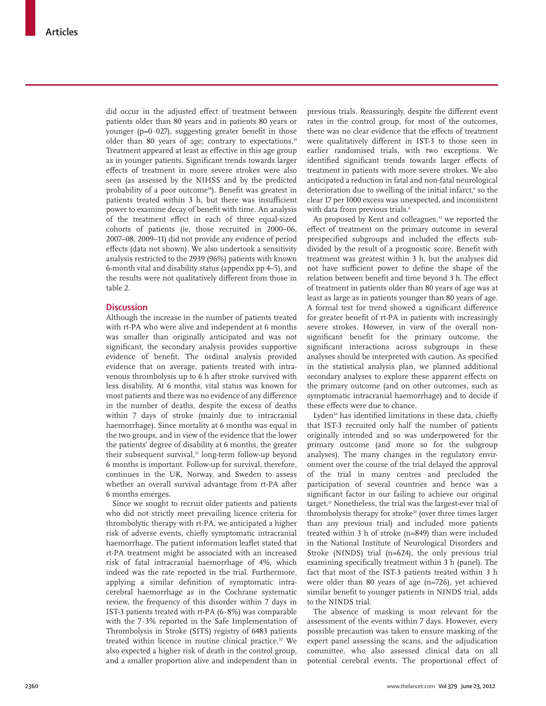did occur in the adjusted effect of treatment between patients older than 80 years and in patients 80 years or younger ( $p=0.027$ ), suggesting greater benefit in those older than 80 years of age; contrary to expectations.<sup>14</sup> Treatment appeared at least as effective in this age group as in younger patients. Significant trends towards larger effects of treatment in more severe strokes were also seen (as assessed by the NIHSS and by the predicted probability of a poor outcome<sup>18</sup>). Benefit was greatest in patients treated within 3 h, but there was insufficient power to examine decay of benefit with time. An analysis of the treatment effect in each of three equal-sized cohorts of patients (ie, those recruited in 2000–06, 2007–08, 2009–11) did not provide any evidence of period effects (data not shown). We also undertook a sensitivity analysis restricted to the 2939 (96%) patients with known 6-month vital and disability status (appendix pp 4–5), and the results were not qualitatively different from those in table 2.

# **Discussion**

Although the increase in the number of patients treated with rt-PA who were alive and independent at 6 months was smaller than originally anticipated and was not significant, the secondary analysis provides supportive evidence of benefit. The ordinal analysis provided evidence that on average, patients treated with intravenous thrombolysis up to 6 h after stroke survived with less disability. At 6 months, vital status was known for most patients and there was no evidence of any difference in the number of deaths, despite the excess of deaths within 7 days of stroke (mainly due to intracranial haemorrhage). Since mortality at 6 months was equal in the two groups, and in view of the evidence that the lower the patients' degree of disability at 6 months, the greater their subsequent survival,<sup>31</sup> long-term follow-up beyond 6 months is important. Follow-up for survival, therefore, continues in the UK, Norway, and Sweden to assess whether an overall survival advantage from rt-PA after 6 months emerges.

Since we sought to recruit older patients and patients who did not strictly meet prevailing licence criteria for thrombolytic therapy with rt-PA, we anticipated a higher risk of adverse events, chiefly symptomatic intracranial haemorrhage. The patient information leaflet stated that rt-PA treatment might be associated with an increased risk of fatal intracranial haemorrhage of 4%, which indeed was the rate reported in the trial. Furthermore, applying a similar definition of symptomatic intracerebral haemorrhage as in the Cochrane systematic review, the frequency of this disorder within 7 days in IST-3 patients treated with rt-PA (6·8%) was comparable with the 7·3% reported in the Safe Implementation of Thrombolysis in Stroke (SITS) registry of 6483 patients treated within licence in routine clinical practice.<sup>32</sup> We also expected a higher risk of death in the control group, and a smaller proportion alive and independent than in

previous trials. Reassuringly, despite the different event rates in the control group, for most of the outcomes, there was no clear evidence that the effects of treatment were qualitatively different in IST-3 to those seen in earlier randomised trials, with two exceptions. We identified significant trends towards larger effects of treatment in patients with more severe strokes. We also anticipated a reduction in fatal and non-fatal neurological deterioration due to swelling of the initial infarct,<sup>6</sup> so the clear 17 per 1000 excess was unexpected, and inconsistent with data from previous trials.<sup>6</sup>

As proposed by Kent and colleagues,<sup>33</sup> we reported the effect of treatment on the primary outcome in several prespecified subgroups and included the effects subdivided by the result of a prognostic score. Benefit with treatment was greatest within 3 h, but the analyses did not have sufficient power to define the shape of the relation between benefit and time beyond 3 h. The effect of treatment in patients older than 80 years of age was at least as large as in patients younger than 80 years of age. A formal test for trend showed a significant difference for greater benefit of rt-PA in patients with increasingly severe strokes. However, in view of the overall nonsignificant benefit for the primary outcome, the significant interactions across subgroups in these analyses should be interpreted with caution. As specified in the statistical analysis plan, we planned additional secondary analyses to explore these apparent effects on the primary outcome (and on other outcomes, such as symptomatic intracranial haemorrhage) and to decide if these effects were due to chance.

Lyden<sup>34</sup> has identified limitations in these data, chiefly that IST-3 recruited only half the number of patients originally intended and so was underpowered for the primary outcome (and more so for the subgroup analyses). The many changes in the regulatory environment over the course of the trial delayed the approval of the trial in many centres and precluded the participation of several countries and hence was a significant factor in our failing to achieve our original target.<sup>11</sup> Nonetheless, the trial was the largest-ever trial of thrombolysis therapy for stroke<sup>34</sup> (over three times larger than any previous trial) and included more patients treated within 3 h of stroke (n=849) than were included in the National Institute of Neurological Disorders and Stroke (NINDS) trial (n=624), the only previous trial examining specifically treatment within 3 h (panel). The fact that most of the IST-3 patients treated within 3 h were older than 80 years of age (n=726), yet achieved similar benefit to younger patients in NINDS trial, adds to the NINDS trial.

The absence of masking is most relevant for the assessment of the events within 7 days. However, every possible precaution was taken to ensure masking of the expert panel assessing the scans, and the adjudication committee, who also assessed clinical data on all potential cerebral events. The proportional effect of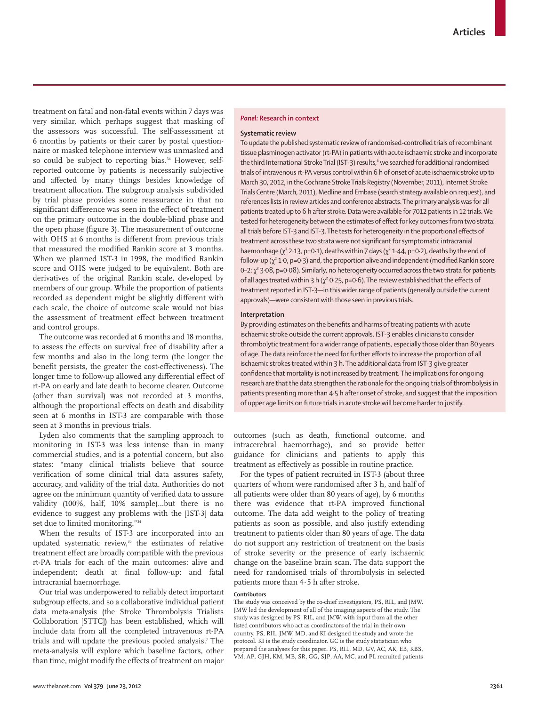treatment on fatal and non-fatal events within 7 days was very similar, which perhaps suggest that masking of the assessors was successful. The self-assessment at 6 months by patients or their carer by postal questionnaire or masked telephone interview was unmasked and so could be subject to reporting bias.<sup>34</sup> However, selfreported outcome by patients is necessarily subjective and affected by many things besides knowledge of treatment allocation. The subgroup analysis subdivided by trial phase provides some reassurance in that no significant difference was seen in the effect of treatment on the primary outcome in the double-blind phase and the open phase (figure 3). The measurement of outcome with OHS at 6 months is different from previous trials that measured the modified Rankin score at 3 months. When we planned IST-3 in 1998, the modified Rankin score and OHS were judged to be equivalent. Both are derivatives of the original Rankin scale, developed by members of our group. While the proportion of patients recorded as dependent might be slightly different with each scale, the choice of outcome scale would not bias the assessment of treatment effect between treatment and control groups.

The outcome was recorded at 6 months and 18 months, to assess the effects on survival free of disability after a few months and also in the long term (the longer the benefit persists, the greater the cost-effectiveness). The longer time to follow-up allowed any differential effect of rt-PA on early and late death to become clearer. Outcome (other than survival) was not recorded at 3 months, although the proportional effects on death and disability seen at 6 months in IST-3 are comparable with those seen at 3 months in previous trials.

Lyden also comments that the sampling approach to monitoring in IST-3 was less intense than in many commercial studies, and is a potential concern, but also states: "many clinical trialists believe that source verification of some clinical trial data assures safety, accuracy, and validity of the trial data. Authorities do not agree on the minimum quantity of verified data to assure validity (100%, half, 10% sample)…but there is no evidence to suggest any problems with the [IST-3] data set due to limited monitoring."<sup>34</sup>

When the results of IST-3 are incorporated into an updated systematic review,<sup>35</sup> the estimates of relative treatment effect are broadly compatible with the previous rt-PA trials for each of the main outcomes: alive and independent; death at final follow-up; and fatal intracranial haemorrhage.

Our trial was underpowered to reliably detect important subgroup effects, and so a collaborative individual patient data meta-analysis (the Stroke Thrombolysis Trialists Collaboration [STTC]) has been established, which will include data from all the completed intravenous rt-PA trials and will update the previous pooled analysis.7 The meta-analysis will explore which baseline factors, other than time, might modify the effects of treatment on major

# *Panel:* **Research in context**

#### **Systematic review**

To update the published systematic review of randomised-controlled trials of recombinant tissue plasminogen activator (rt-PA) in patients with acute ischaemic stroke and incorporate the third International Stroke Trial (IST-3) results,<sup>6</sup> we searched for additional randomised trials of intravenous rt-PA versus control within 6 h of onset of acute ischaemic stroke up to March 30, 2012, in the Cochrane Stroke Trials Registry (November, 2011), Internet Stroke Trials Centre (March, 2011), Medline and Embase (search strategy available on request), and references lists in review articles and conference abstracts. The primary analysis was for all patients treated up to 6 h after stroke. Data were available for 7012 patients in 12 trials. We tested for heterogeneity between the estimates of effect for key outcomes from two strata: all trials before IST-3 and IST-3. The tests for heterogeneity in the proportional effects of treatment across these two strata were not significant for symptomatic intracranial haemorrhage ( $\chi^2$  2·13, p=0·1), deaths within 7 days ( $\chi^2$  1·44, p=0·2), deaths by the end of follow-up ( $\chi^2$  1·0, p=0·3) and, the proportion alive and independent (modified Rankin score 0-2:  $\chi^2$  3·08, p=0·08). Similarly, no heterogeneity occurred across the two strata for patients of all ages treated within 3 h ( $\chi^2$  0.25, p=0.6). The review established that the effects of treatment reported in IST-3—in this wider range of patients (generally outside the current approvals)—were consistent with those seen in previous trials.

## **Interpretation**

By providing estimates on the benefits and harms of treating patients with acute ischaemic stroke outside the current approvals, IST-3 enables clinicians to consider thrombolytic treatment for a wider range of patients, especially those older than 80 years of age. The data reinforce the need for further efforts to increase the proportion of all ischaemic strokes treated within 3 h. The additional data from IST-3 give greater confidence that mortality is not increased by treatment. The implications for ongoing research are that the data strengthen the rationale for the ongoing trials of thrombolysis in patients presenting more than 4·5 h after onset of stroke, and suggest that the imposition of upper age limits on future trials in acute stroke will become harder to justify.

outcomes (such as death, functional outcome, and intracerebral haemorrhage), and so provide better guidance for clinicians and patients to apply this treatment as effectively as possible in routine practice.

For the types of patient recruited in IST-3 (about three quarters of whom were randomised after 3 h, and half of all patients were older than 80 years of age), by 6 months there was evidence that rt-PA improved functional outcome. The data add weight to the policy of treating patients as soon as possible, and also justify extending treatment to patients older than 80 years of age. The data do not support any restriction of treatment on the basis of stroke severity or the presence of early ischaemic change on the baseline brain scan. The data support the need for randomised trials of thrombolysis in selected patients more than 4·5 h after stroke.

#### **Contributors**

The study was conceived by the co-chief investigators, PS, RIL, and JMW. JMW led the development of all of the imaging aspects of the study. The study was designed by PS, RIL, and JMW, with input from all the other listed contributors who act as coordinators of the trial in their own country. PS, RIL, JMW, MD, and KI designed the study and wrote the protocol. KI is the study coordinator. GC is the study statistician who prepared the analyses for this paper**.** PS, RIL, MD, GV, AC, AK, EB, KBS, VM, AP, GJH, KM, MB, SR, GG, SJP, AA, MC, and PL recruited patients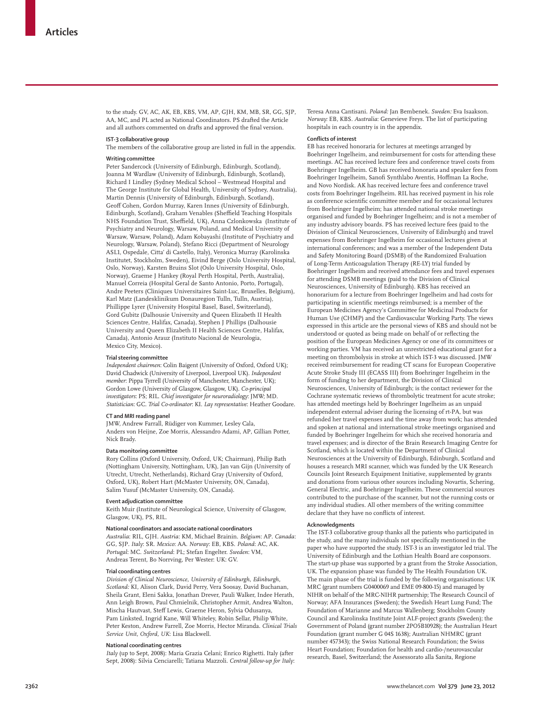to the study. GV, AC, AK, EB, KBS, VM, AP, GJH, KM, MB, SR, GG, SJP, AA, MC, and PL acted as National Coordinators. PS drafted the Article and all authors commented on drafts and approved the final version.

#### **IST-3 collaborative group**

The members of the collaborative group are listed in full in the appendix.

#### **Writing committee**

Peter Sandercock (University of Edinburgh, Edinburgh, Scotland), Joanna M Wardlaw (University of Edinburgh, Edinburgh, Scotland), Richard I Lindley (Sydney Medical School – Westmead Hospital and The George Institute for Global Health, University of Sydney, Australia), Martin Dennis (University of Edinburgh, Edinburgh, Scotland), Geoff Cohen, Gordon Murray, Karen Innes (University of Edinburgh, Edinburgh, Scotland), Graham Venables (Sheffield Teaching Hospitals NHS Foundation Trust, Sheffield, UK), Anna Czlonkowska (Institute of Psychiatry and Neurology, Warsaw, Poland, and Medical University of Warsaw, Warsaw, Poland), Adam Kobayashi (Institute of Psychiatry and Neurology, Warsaw, Poland), Stefano Ricci (Department of Neurology ASL1, Ospedale, Citta' di Castello, Italy), Veronica Murray (Karolinska Institutet, Stockholm, Sweden), Eivind Berge (Oslo University Hospital, Oslo, Norway), Karsten Bruins Slot (Oslo University Hospital, Oslo, Norway), Graeme J Hankey (Royal Perth Hospital, Perth, Australia), Manuel Correia (Hospital Geral de Santo Antonio, Porto, Portugal), Andre Peeters (Cliniques Universitaires Saint-Luc, Bruxelles, Belgium), Karl Matz (Landesklinikum Donauregion Tulln, Tulln, Austria), Phillippe Lyrer (University Hospital Basel, Basel, Switzerland), Gord Gubitz (Dalhousie University and Queen Elizabeth II Health Sciences Centre, Halifax, Canada), Stephen J Phillips (Dalhousie University and Queen Elizabeth II Health Sciences Centre, Halifax, Canada), Antonio Arauz (Instituto Nacional de Neurologia, Mexico City, Mexico).

#### **Trial steering committee**

*Independent chairmen*: Colin Baigent (University of Oxford, Oxford UK); David Chadwick (University of Liverpool, Liverpool UK). *Independent member*: Pippa Tyrrell (University of Manchester, Manchester, UK); Gordon Lowe (University of Glasgow, Glasgow, UK). *Co-principal investigators*: PS; RIL. *Chief investigator for neuroradiology*: JMW; MD. *Statistician*: GC. *Trial Co-ordinator*: KI. *Lay representative*: Heather Goodare.

#### **CT and MRI reading panel**

JMW, Andrew Farrall, Rüdiger von Kummer, Lesley Cala, Anders von Heijne, Zoe Morris, Alessandro Adami, AP, Gillian Potter, Nick Brady.

#### **Data monitoring committee**

Rory Collins (Oxford University, Oxford, UK; Chairman), Philip Bath (Nottingham University, Nottingham, UK), Jan van Gijn (University of Utrecht, Utrecht, Netherlands), Richard Gray (University of Oxford, Oxford, UK), Robert Hart (McMaster University, ON, Canada), Salim Yusuf (McMaster University, ON, Canada).

#### **Event adjudication committee**

Keith Muir (Institute of Neurological Science, University of Glasgow, Glasgow, UK), PS, RIL.

# **National coordinators and associate national coordinators**

*Australia*: RIL, GJH. *Austria*: KM, Michael Brainin. *Belgium*: AP. *Canada*: GG, SJP. *Italy*: SR. *Mexico*: AA. *Norway*: EB, KBS. *Poland*: AC, AK. *Portugal*: MC. *Switzerland*: PL; Stefan Engelter. *Sweden*: VM, Andreas Terent, Bo Norrving, Per Wester: UK: GV.

#### **Trial coordinating centres**

*Division of Clinical Neuroscience, University of Edinburgh, Edinburgh, Scotland:* KI, Alison Clark, David Perry, Vera Soosay, David Buchanan, Sheila Grant, Eleni Sakka, Jonathan Drever, Pauli Walker, Indee Herath, Ann Leigh Brown, Paul Chmielnik, Christopher Armit, Andrea Walton, Mischa Hautvast, Steff Lewis, Graeme Heron, Sylvia Odusanya, Pam Linksted, Ingrid Kane, Will Whiteley, Robin Sellar, Philip White, Peter Keston, Andrew Farrell, Zoe Morris, Hector Miranda. *Clinical Trials Service Unit, Oxford, UK*: Lisa Blackwell.

# **National coordinating centres**

*Italy* (up to Sept, 2008): Maria Grazia Celani; Enrico Righetti. Italy (after Sept, 2008): Silvia Cenciarelli; Tatiana Mazzoli. *Central follow-up for Italy*: Teresa Anna Cantisani. *Poland:* Jan Bembenek. *Sweden:* Eva Isaakson. *Norway:* EB, KBS. *Australia*: Genevieve Freys. The list of participating hospitals in each country is in the appendix.

#### **Conflicts of interest**

EB has received honoraria for lectures at meetings arranged by Boehringer Ingelheim, and reimbursement for costs for attending these meetings. AC has received lecture fees and conference travel costs from Boehringer Ingelheim. GB has received honoraria and speaker fees from Boehringer Ingelheim, Sanofi Synthlabo Aventis, Hoffman La Roche, and Novo Nordisk. AK has received lecture fees and conference travel costs from Boehringer Ingelheim. RIL has received payment in his role as conference scientific committee member and for occasional lectures from Boehringer Ingelheim; has attended national stroke meetings organised and funded by Boehringer Ingelheim; and is not a member of any industry advisory boards. PS has received lecture fees (paid to the Division of Clinical Neurosciences, University of Edinburgh) and travel expenses from Boehringer Ingelheim for occasional lectures given at international conferences; and was a member of the Independent Data and Safety Monitoring Board (DSMB) of the Randomized Evaluation of Long-Term Anticoagulation Therapy (RE-LY) trial funded by Boehringer Ingelheim and received attendance fees and travel expenses for attending DSMB meetings (paid to the Division of Clinical Neurosciences, University of Edinburgh). KBS has received an honorarium for a lecture from Boehringer Ingelheim and had costs for participating in scientific meetings reimbursed; is a member of the European Medicines Agency's Committee for Medicinal Products for Human Use (CHMP) and the Cardiovascular Working Party. The views expressed in this article are the personal views of KBS and should not be understood or quoted as being made on behalf of or reflecting the position of the European Medicines Agency or one of its committees or working parties. VM has received an unrestricted educational grant for a meeting on thrombolysis in stroke at which IST-3 was discussed. JMW received reimbursement for reading CT scans for European Cooperative Acute Stroke Study III (ECASS III) from Boehringer Ingelheim in the form of funding to her department, the Division of Clinical Neurosciences, University of Edinburgh; is the contact reviewer for the Cochrane systematic reviews of thrombolytic treatment for acute stroke; has attended meetings held by Boehringer Ingelheim as an unpaid independent external adviser during the licensing of rt-PA, but was refunded her travel expenses and the time away from work; has attended and spoken at national and international stroke meetings organised and funded by Boehringer Ingelheim for which she received honoraria and travel expenses; and is director of the Brain Research Imaging Centre for Scotland, which is located within the Department of Clinical Neurosciences at the University of Edinburgh, Edinburgh, Scotland and houses a research MRI scanner, which was funded by the UK Research Councils Joint Research Equipment Initiative, supplemented by grants and donations from various other sources including Novartis, Schering, General Electric, and Boehringer Ingelheim. These commercial sources contributed to the purchase of the scanner, but not the running costs or any individual studies. All other members of the writing committee declare that they have no conflicts of interest.

#### **Acknowledgments**

The IST-3 collaborative group thanks all the patients who participated in the study, and the many individuals not specifically mentioned in the paper who have supported the study. IST-3 is an investigator led trial. The University of Edinburgh and the Lothian Health Board are cosponsors. The start-up phase was supported by a grant from the Stroke Association, UK. The expansion phase was funded by The Health Foundation UK. The main phase of the trial is funded by the following organisations: UK MRC (grant numbers G0400069 and EME 09-800-15) and managed by NIHR on behalf of the MRC-NIHR partnership; The Research Council of Norway; AFA Insurances (Sweden); the Swedish Heart Lung Fund; The Foundation of Marianne and Marcus Wallenberg; Stockholm County Council and Karolinska Institute Joint ALF-project grants (Sweden); the Government of Poland (grant number 2PO5B10928); the Australian Heart Foundation (grant number G 04S 1638); Australian NHMRC (grant number 457343); the Swiss National Research Foundation; the Swiss Heart Foundation; Foundation for health and cardio-/neurovascular research, Basel, Switzerland; the Assessorato alla Sanita, Regione